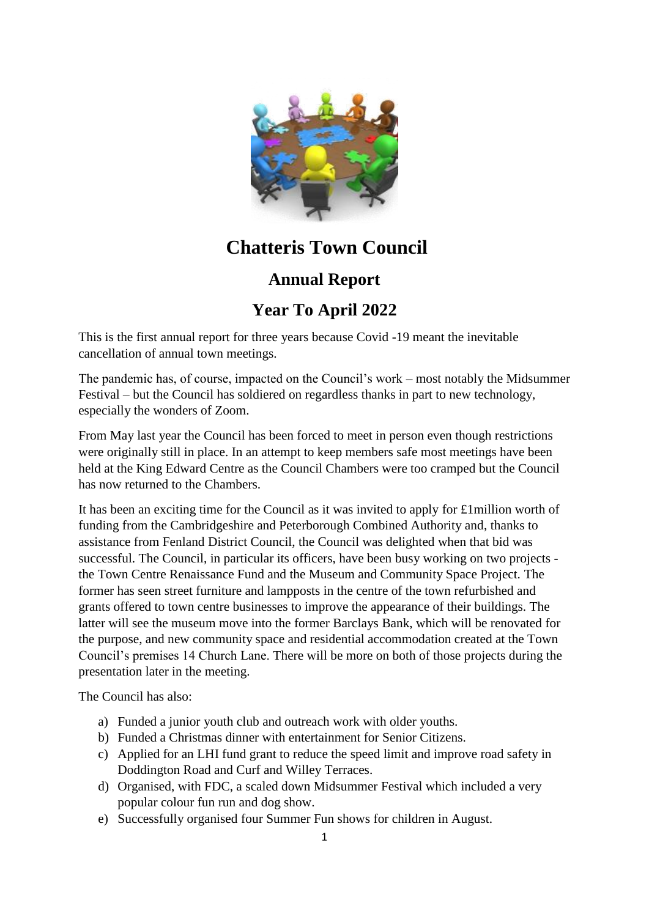

## **Chatteris Town Council**

## **Annual Report**

## **Year To April 2022**

This is the first annual report for three years because Covid -19 meant the inevitable cancellation of annual town meetings.

The pandemic has, of course, impacted on the Council's work – most notably the Midsummer Festival – but the Council has soldiered on regardless thanks in part to new technology, especially the wonders of Zoom.

From May last year the Council has been forced to meet in person even though restrictions were originally still in place. In an attempt to keep members safe most meetings have been held at the King Edward Centre as the Council Chambers were too cramped but the Council has now returned to the Chambers.

It has been an exciting time for the Council as it was invited to apply for £1million worth of funding from the Cambridgeshire and Peterborough Combined Authority and, thanks to assistance from Fenland District Council, the Council was delighted when that bid was successful. The Council, in particular its officers, have been busy working on two projects the Town Centre Renaissance Fund and the Museum and Community Space Project. The former has seen street furniture and lampposts in the centre of the town refurbished and grants offered to town centre businesses to improve the appearance of their buildings. The latter will see the museum move into the former Barclays Bank, which will be renovated for the purpose, and new community space and residential accommodation created at the Town Council's premises 14 Church Lane. There will be more on both of those projects during the presentation later in the meeting.

The Council has also:

- a) Funded a junior youth club and outreach work with older youths.
- b) Funded a Christmas dinner with entertainment for Senior Citizens.
- c) Applied for an LHI fund grant to reduce the speed limit and improve road safety in Doddington Road and Curf and Willey Terraces.
- d) Organised, with FDC, a scaled down Midsummer Festival which included a very popular colour fun run and dog show.
- e) Successfully organised four Summer Fun shows for children in August.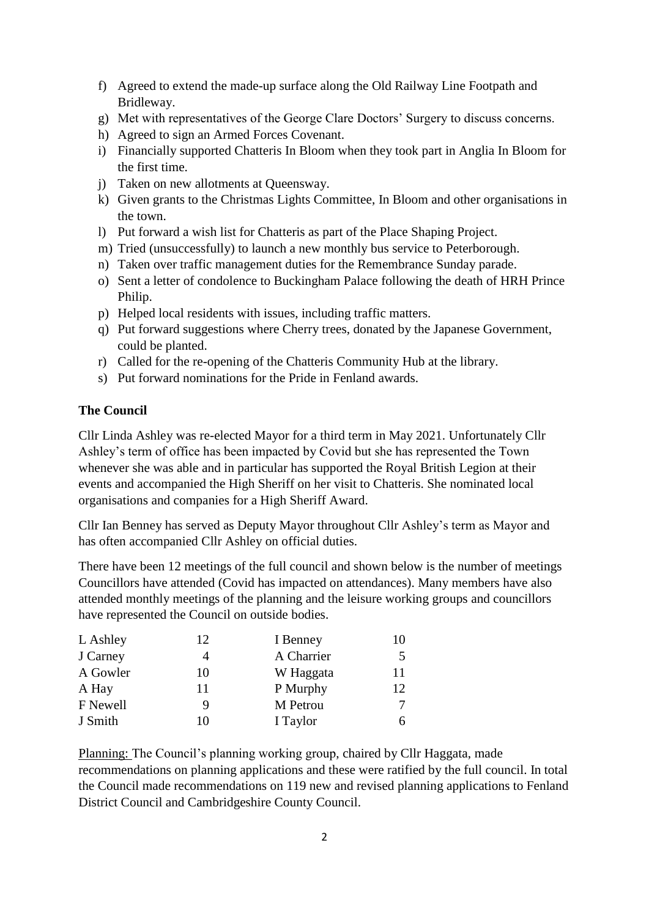- f) Agreed to extend the made-up surface along the Old Railway Line Footpath and Bridleway.
- g) Met with representatives of the George Clare Doctors' Surgery to discuss concerns.
- h) Agreed to sign an Armed Forces Covenant.
- i) Financially supported Chatteris In Bloom when they took part in Anglia In Bloom for the first time.
- j) Taken on new allotments at Queensway.
- k) Given grants to the Christmas Lights Committee, In Bloom and other organisations in the town.
- l) Put forward a wish list for Chatteris as part of the Place Shaping Project.
- m) Tried (unsuccessfully) to launch a new monthly bus service to Peterborough.
- n) Taken over traffic management duties for the Remembrance Sunday parade.
- o) Sent a letter of condolence to Buckingham Palace following the death of HRH Prince Philip.
- p) Helped local residents with issues, including traffic matters.
- q) Put forward suggestions where Cherry trees, donated by the Japanese Government, could be planted.
- r) Called for the re-opening of the Chatteris Community Hub at the library.
- s) Put forward nominations for the Pride in Fenland awards.

## **The Council**

Cllr Linda Ashley was re-elected Mayor for a third term in May 2021. Unfortunately Cllr Ashley's term of office has been impacted by Covid but she has represented the Town whenever she was able and in particular has supported the Royal British Legion at their events and accompanied the High Sheriff on her visit to Chatteris. She nominated local organisations and companies for a High Sheriff Award.

Cllr Ian Benney has served as Deputy Mayor throughout Cllr Ashley's term as Mayor and has often accompanied Cllr Ashley on official duties.

There have been 12 meetings of the full council and shown below is the number of meetings Councillors have attended (Covid has impacted on attendances). Many members have also attended monthly meetings of the planning and the leisure working groups and councillors have represented the Council on outside bodies.

| L Ashley | 12 | I Benney   | 10 |
|----------|----|------------|----|
| J Carney |    | A Charrier |    |
| A Gowler | 10 | W Haggata  | 11 |
| A Hay    | 11 | P Murphy   | 12 |
| F Newell | 9  | M Petrou   |    |
| J Smith  | 10 | I Taylor   |    |

Planning: The Council's planning working group, chaired by Cllr Haggata, made recommendations on planning applications and these were ratified by the full council. In total the Council made recommendations on 119 new and revised planning applications to Fenland District Council and Cambridgeshire County Council.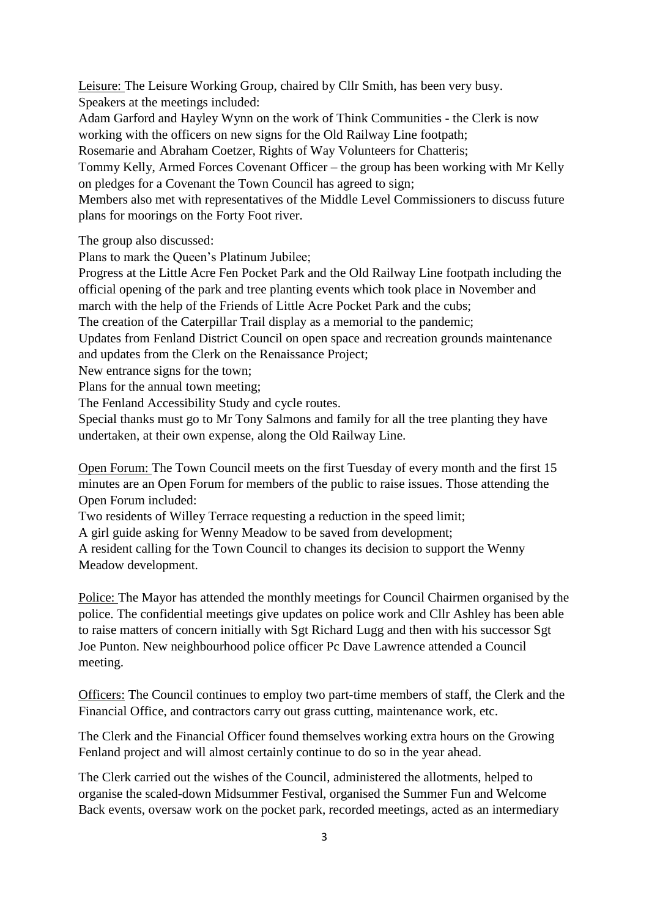Leisure: The Leisure Working Group, chaired by Cllr Smith, has been very busy. Speakers at the meetings included:

Adam Garford and Hayley Wynn on the work of Think Communities - the Clerk is now working with the officers on new signs for the Old Railway Line footpath;

Rosemarie and Abraham Coetzer, Rights of Way Volunteers for Chatteris;

Tommy Kelly, Armed Forces Covenant Officer – the group has been working with Mr Kelly on pledges for a Covenant the Town Council has agreed to sign;

Members also met with representatives of the Middle Level Commissioners to discuss future plans for moorings on the Forty Foot river.

The group also discussed:

Plans to mark the Queen's Platinum Jubilee;

Progress at the Little Acre Fen Pocket Park and the Old Railway Line footpath including the official opening of the park and tree planting events which took place in November and march with the help of the Friends of Little Acre Pocket Park and the cubs;

The creation of the Caterpillar Trail display as a memorial to the pandemic;

Updates from Fenland District Council on open space and recreation grounds maintenance and updates from the Clerk on the Renaissance Project;

New entrance signs for the town;

Plans for the annual town meeting;

The Fenland Accessibility Study and cycle routes.

Special thanks must go to Mr Tony Salmons and family for all the tree planting they have undertaken, at their own expense, along the Old Railway Line.

Open Forum: The Town Council meets on the first Tuesday of every month and the first 15 minutes are an Open Forum for members of the public to raise issues. Those attending the Open Forum included:

Two residents of Willey Terrace requesting a reduction in the speed limit;

A girl guide asking for Wenny Meadow to be saved from development;

A resident calling for the Town Council to changes its decision to support the Wenny Meadow development.

Police: The Mayor has attended the monthly meetings for Council Chairmen organised by the police. The confidential meetings give updates on police work and Cllr Ashley has been able to raise matters of concern initially with Sgt Richard Lugg and then with his successor Sgt Joe Punton. New neighbourhood police officer Pc Dave Lawrence attended a Council meeting.

Officers: The Council continues to employ two part-time members of staff, the Clerk and the Financial Office, and contractors carry out grass cutting, maintenance work, etc.

The Clerk and the Financial Officer found themselves working extra hours on the Growing Fenland project and will almost certainly continue to do so in the year ahead.

The Clerk carried out the wishes of the Council, administered the allotments, helped to organise the scaled-down Midsummer Festival, organised the Summer Fun and Welcome Back events, oversaw work on the pocket park, recorded meetings, acted as an intermediary